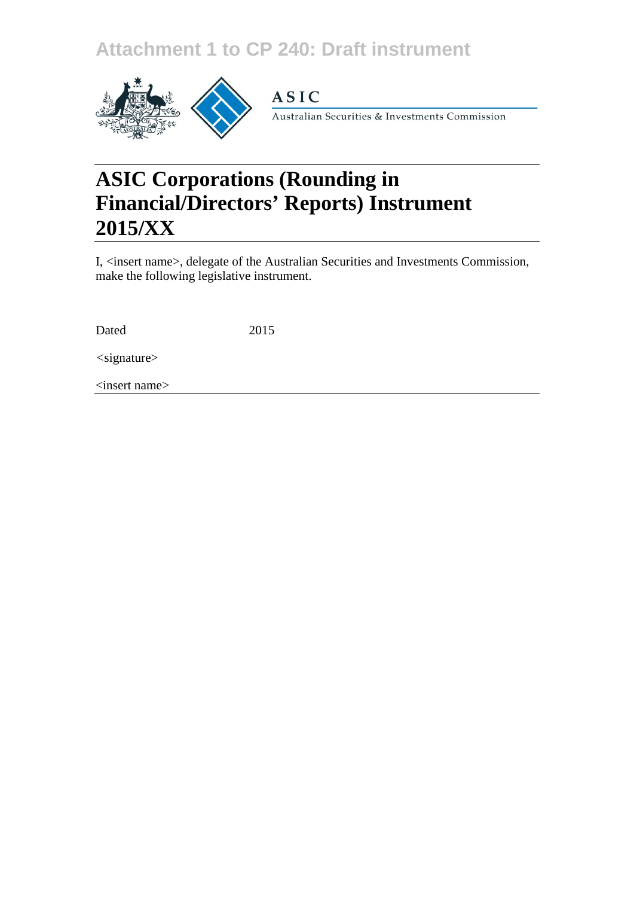## **Attachment 1 to CP 240: Draft instrument**



**ASIC** 

Australian Securities & Investments Commission

# **ASIC Corporations (Rounding in Financial/Directors' Reports) Instrument 2015/XX**

I, <insert name>, delegate of the Australian Securities and Investments Commission, make the following legislative instrument.

Dated 2015

*<*signature>

<insert name>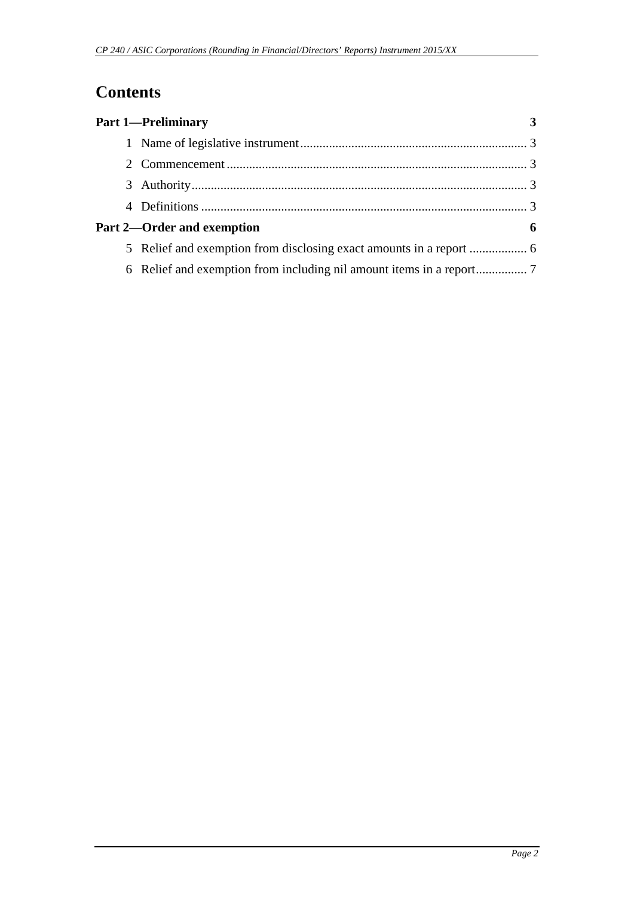## **Contents**

| <b>Part 1-Preliminary</b>  |  |
|----------------------------|--|
|                            |  |
|                            |  |
|                            |  |
|                            |  |
| Part 2—Order and exemption |  |
|                            |  |
|                            |  |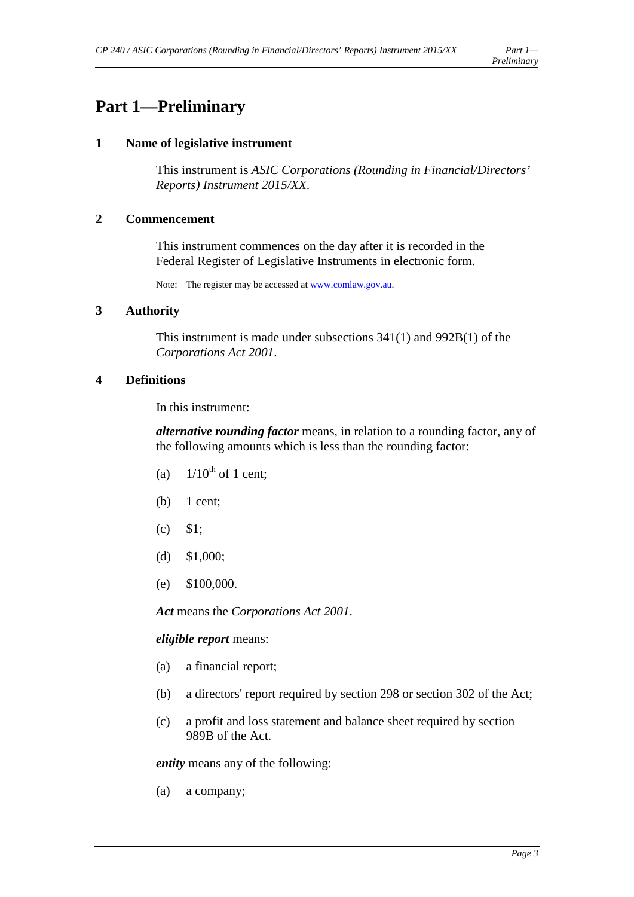### <span id="page-2-1"></span><span id="page-2-0"></span>**Part 1—Preliminary**

#### **1 Name of legislative instrument**

This instrument is *ASIC Corporations (Rounding in Financial/Directors' Reports) Instrument 2015/XX*.

#### <span id="page-2-2"></span>**2 Commencement**

This instrument commences on the day after it is recorded in the Federal Register of Legislative Instruments in electronic form.

Note: The register may be accessed a[t www.comlaw.gov.au.](http://www.comlaw.gov.au/)

#### <span id="page-2-3"></span>**3 Authority**

This instrument is made under subsections 341(1) and 992B(1) of the *Corporations Act 2001*.

#### <span id="page-2-4"></span>**4 Definitions**

In this instrument:

*alternative rounding factor* means, in relation to a rounding factor, any of the following amounts which is less than the rounding factor:

- (a)  $1/10^{th}$  of 1 cent:
- (b) 1 cent;
- $(c)$  \$1;
- (d) \$1,000;
- (e) \$100,000.

*Act* means the *Corporations Act 2001*.

#### *eligible report* means:

- (a) a financial report;
- (b) a directors' report required by section 298 or section 302 of the Act;
- (c) a profit and loss statement and balance sheet required by section 989B of the Act.

*entity* means any of the following:

(a) a company;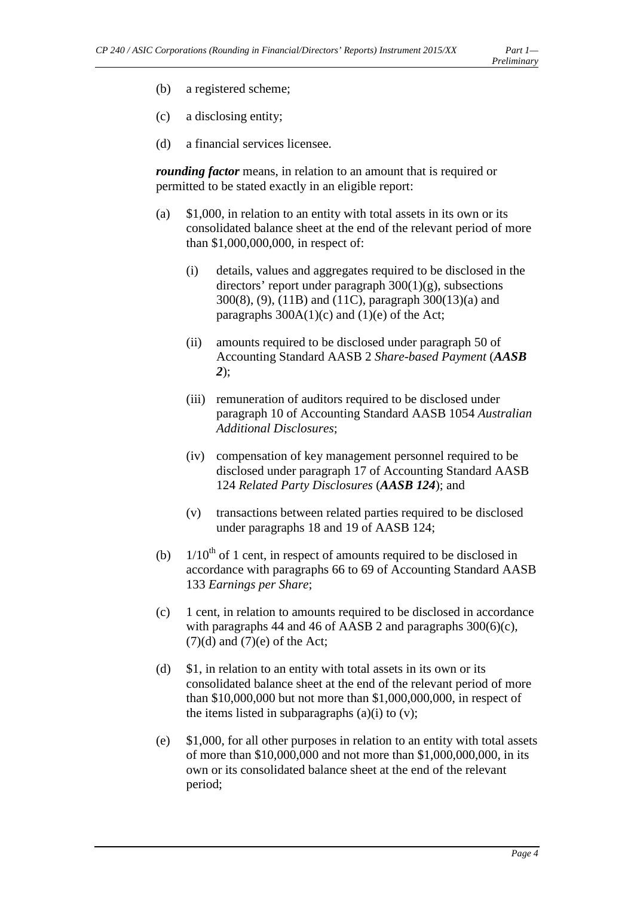*Preliminary*

- (b) a registered scheme;
- (c) a disclosing entity;
- (d) a financial services licensee.

*rounding factor* means, in relation to an amount that is required or permitted to be stated exactly in an eligible report:

- (a) \$1,000, in relation to an entity with total assets in its own or its consolidated balance sheet at the end of the relevant period of more than \$1,000,000,000, in respect of:
	- (i) details, values and aggregates required to be disclosed in the directors' report under paragraph  $300(1)(g)$ , subsections 300(8), (9), (11B) and (11C), paragraph 300(13)(a) and paragraphs  $300A(1)(c)$  and  $(1)(e)$  of the Act;
	- (ii) amounts required to be disclosed under paragraph 50 of Accounting Standard AASB 2 *Share-based Payment* (*AASB 2*);
	- (iii) remuneration of auditors required to be disclosed under paragraph 10 of Accounting Standard AASB 1054 *Australian Additional Disclosures*;
	- (iv) compensation of key management personnel required to be disclosed under paragraph 17 of Accounting Standard AASB 124 *Related Party Disclosures* (*AASB 124*); and
	- (v) transactions between related parties required to be disclosed under paragraphs 18 and 19 of AASB 124;
- (b)  $1/10^{th}$  of 1 cent, in respect of amounts required to be disclosed in accordance with paragraphs 66 to 69 of Accounting Standard AASB 133 *Earnings per Share*;
- (c) 1 cent, in relation to amounts required to be disclosed in accordance with paragraphs 44 and 46 of AASB 2 and paragraphs  $300(6)(c)$ ,  $(7)(d)$  and  $(7)(e)$  of the Act;
- (d) \$1, in relation to an entity with total assets in its own or its consolidated balance sheet at the end of the relevant period of more than \$10,000,000 but not more than \$1,000,000,000, in respect of the items listed in subparagraphs  $(a)(i)$  to  $(v)$ ;
- (e) \$1,000, for all other purposes in relation to an entity with total assets of more than \$10,000,000 and not more than \$1,000,000,000, in its own or its consolidated balance sheet at the end of the relevant period;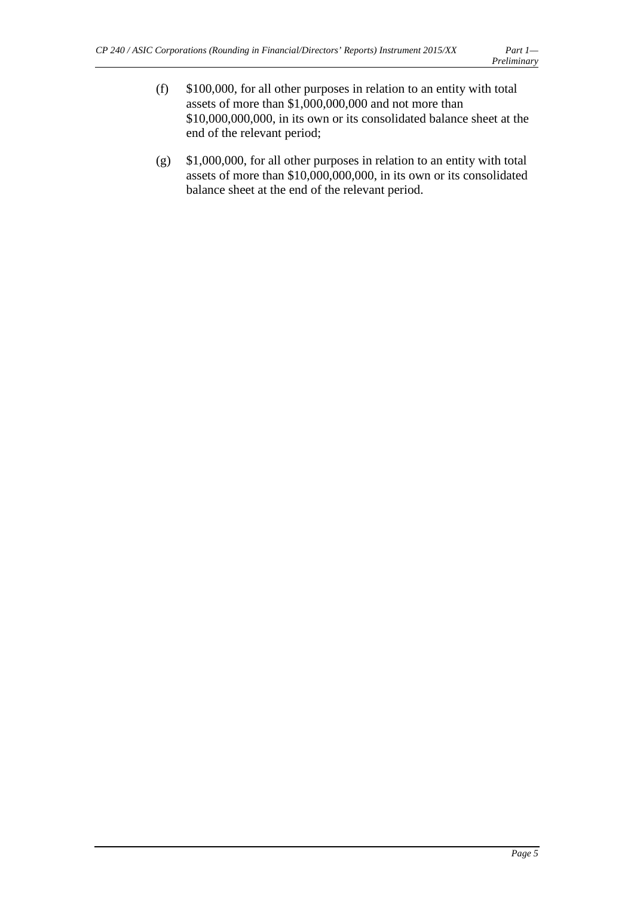- (f) \$100,000, for all other purposes in relation to an entity with total assets of more than \$1,000,000,000 and not more than \$10,000,000,000, in its own or its consolidated balance sheet at the end of the relevant period;
- (g) \$1,000,000, for all other purposes in relation to an entity with total assets of more than \$10,000,000,000, in its own or its consolidated balance sheet at the end of the relevant period.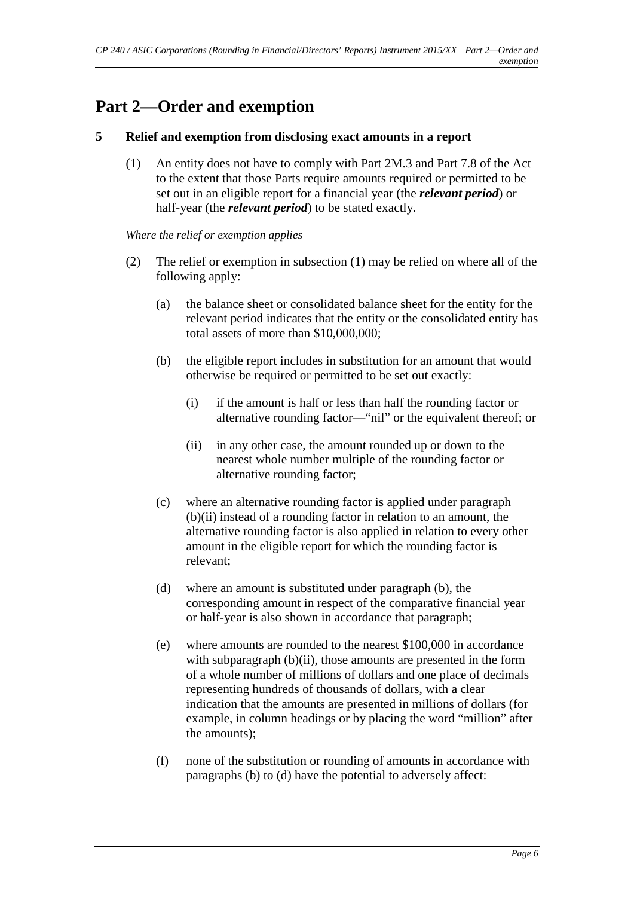### <span id="page-5-0"></span>**Part 2—Order and exemption**

#### <span id="page-5-1"></span>**5 Relief and exemption from disclosing exact amounts in a report**

(1) An entity does not have to comply with Part 2M.3 and Part 7.8 of the Act to the extent that those Parts require amounts required or permitted to be set out in an eligible report for a financial year (the *relevant period*) or half-year (the *relevant period*) to be stated exactly.

*Where the relief or exemption applies*

- (2) The relief or exemption in subsection (1) may be relied on where all of the following apply:
	- (a) the balance sheet or consolidated balance sheet for the entity for the relevant period indicates that the entity or the consolidated entity has total assets of more than \$10,000,000;
	- (b) the eligible report includes in substitution for an amount that would otherwise be required or permitted to be set out exactly:
		- (i) if the amount is half or less than half the rounding factor or alternative rounding factor—"nil" or the equivalent thereof; or
		- (ii) in any other case, the amount rounded up or down to the nearest whole number multiple of the rounding factor or alternative rounding factor;
	- (c) where an alternative rounding factor is applied under paragraph (b)(ii) instead of a rounding factor in relation to an amount, the alternative rounding factor is also applied in relation to every other amount in the eligible report for which the rounding factor is relevant;
	- (d) where an amount is substituted under paragraph (b), the corresponding amount in respect of the comparative financial year or half-year is also shown in accordance that paragraph;
	- (e) where amounts are rounded to the nearest \$100,000 in accordance with subparagraph (b)(ii), those amounts are presented in the form of a whole number of millions of dollars and one place of decimals representing hundreds of thousands of dollars, with a clear indication that the amounts are presented in millions of dollars (for example, in column headings or by placing the word "million" after the amounts);
	- (f) none of the substitution or rounding of amounts in accordance with paragraphs (b) to (d) have the potential to adversely affect: